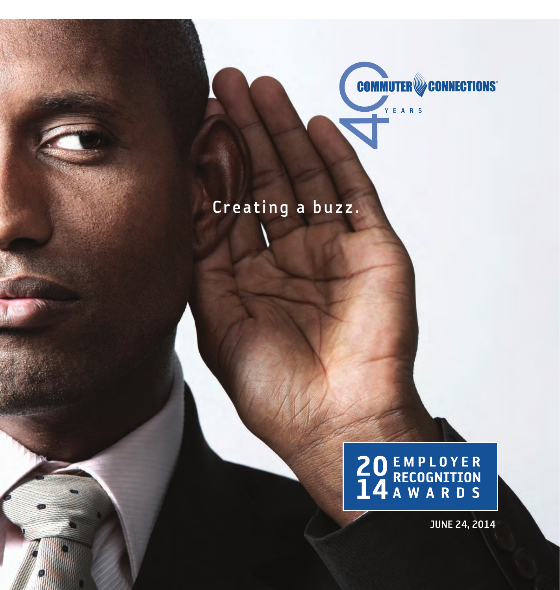

Creating a buzz.

# **20 EMPLOYER**<br>**14 A W A R D S**

JUNE 24, 2014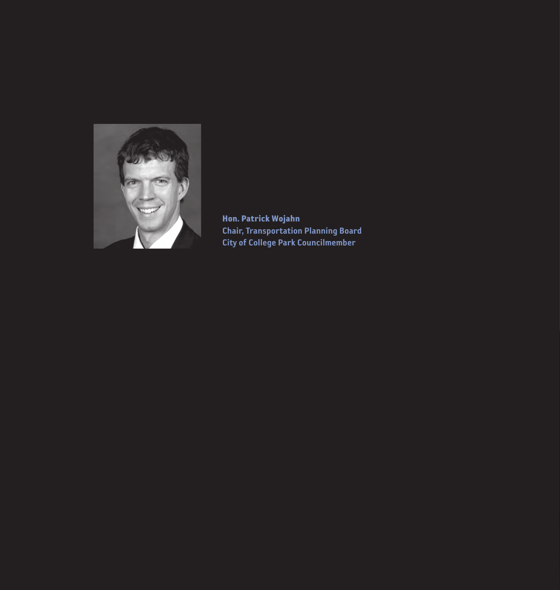

Hon. Patrick Wojahn Chair, Transportation Planning Board City of College Park Councilmember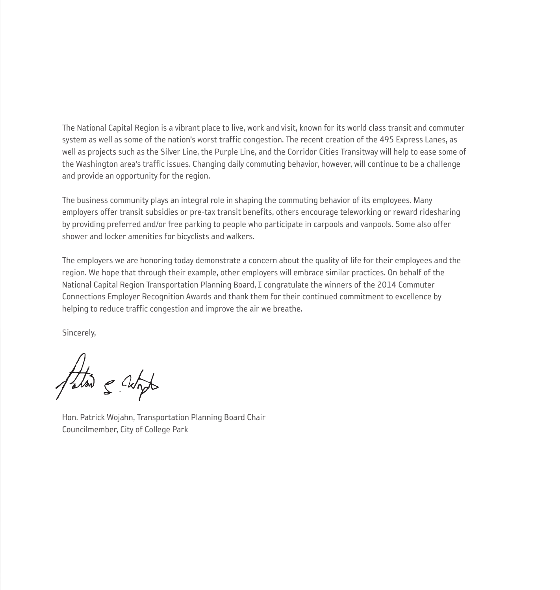The National Capital Region is a vibrant place to live, work and visit, known for its world class transit and commuter system as well as some of the nation's worst traffic congestion. The recent creation of the 495 Express Lanes, as well as projects such as the Silver Line, the Purple Line, and the Corridor Cities Transitway will help to ease some of the Washington area's traffic issues. Changing daily commuting behavior, however, will continue to be a challenge and provide an opportunity for the region.

The business community plays an integral role in shaping the commuting behavior of its employees. Many employers offer transit subsidies or pre-tax transit benefits, others encourage teleworking or reward ridesharing by providing preferred and/or free parking to people who participate in carpools and vanpools. Some also offer shower and locker amenities for bicyclists and walkers.

The employers we are honoring today demonstrate a concern about the quality of life for their employees and the region. We hope that through their example, other employers will embrace similar practices. On behalf of the National Capital Region Transportation Planning Board, I congratulate the winners of the 2014 Commuter Connections Employer Recognition Awards and thank them for their continued commitment to excellence by helping to reduce traffic congestion and improve the air we breathe.

Sincerely,

Fation & Wington

Hon. Patrick Wojahn, Transportation Planning Board Chair Councilmember, City of College Park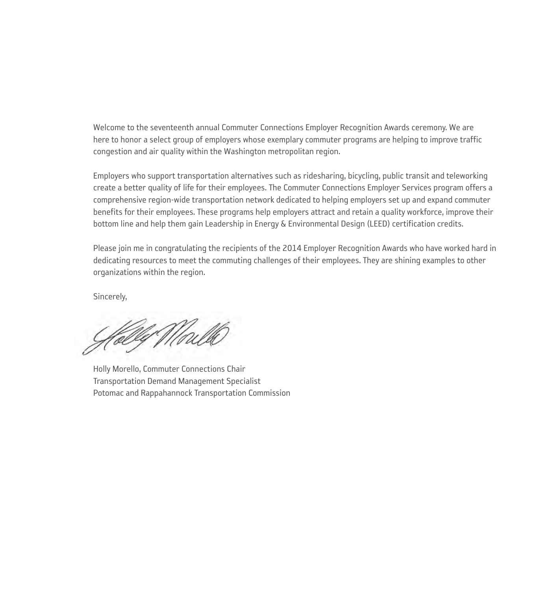Welcome to the seventeenth annual Commuter Connections Employer Recognition Awards ceremony. We are here to honor a select group of employers whose exemplary commuter programs are helping to improve traffic congestion and air quality within the Washington metropolitan region.

Employers who support transportation alternatives such as ridesharing, bicycling, public transit and teleworking create a better quality of life for their employees. The Commuter Connections Employer Services program offers a comprehensive region-wide transportation network dedicated to helping employers set up and expand commuter benefits for their employees. These programs help employers attract and retain a quality workforce, improve their bottom line and help them gain Leadership in Energy & Environmental Design (LEED) certification credits.

Please join me in congratulating the recipients of the 2014 Employer Recognition Awards who have worked hard in dedicating resources to meet the commuting challenges of their employees. They are shining examples to other organizations within the region.

Sincerely,

føllef Wallk

Holly Morello, Commuter Connections Chair Transportation Demand Management Specialist Potomac and Rappahannock Transportation Commission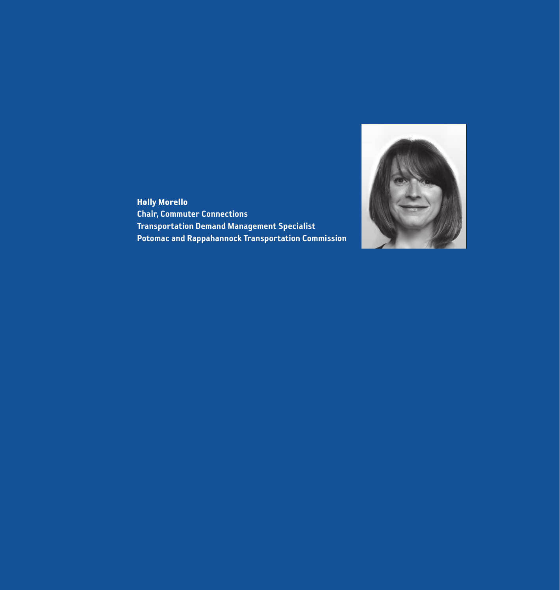

Holly Morello Chair, Commuter Connections Transportation Demand Management Specialist Potomac and Rappahannock Transportation Commission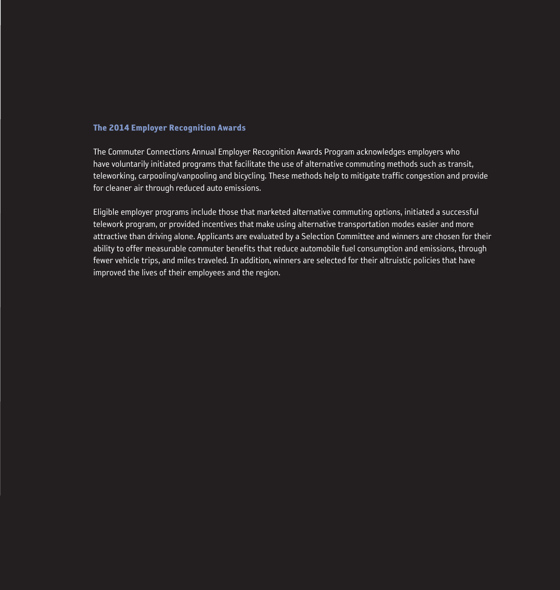#### The 2014 Employer Recognition Awards

The Commuter Connections Annual Employer Recognition Awards Program acknowledges employers who have voluntarily initiated programs that facilitate the use of alternative commuting methods such as transit, teleworking, carpooling/vanpooling and bicycling. These methods help to mitigate traffic congestion and provide for cleaner air through reduced auto emissions.

Eligible employer programs include those that marketed alternative commuting options, initiated a successful telework program, or provided incentives that make using alternative transportation modes easier and more attractive than driving alone. Applicants are evaluated by a Selection Committee and winners are chosen for their ability to offer measurable commuter benefits that reduce automobile fuel consumption and emissions, through fewer vehicle trips, and miles traveled. In addition, winners are selected for their altruistic policies that have improved the lives of their employees and the region.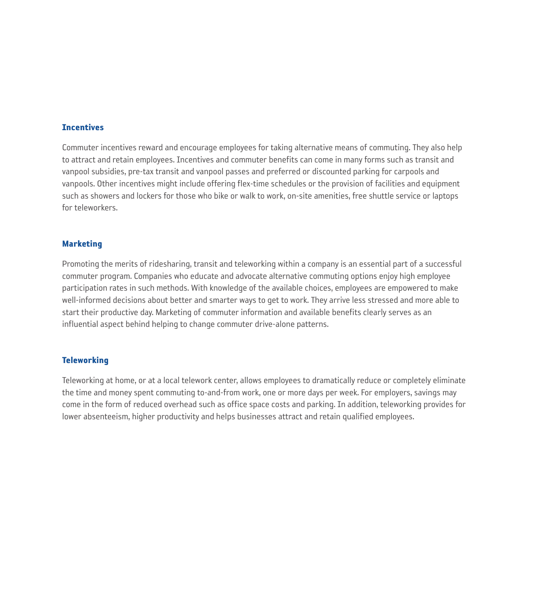#### **Incentives**

Commuter incentives reward and encourage employees for taking alternative means of commuting. They also help to attract and retain employees. Incentives and commuter benefits can come in many forms such as transit and vanpool subsidies, pre-tax transit and vanpool passes and preferred or discounted parking for carpools and vanpools. Other incentives might include offering flex-time schedules or the provision of facilities and equipment such as showers and lockers for those who bike or walk to work, on-site amenities, free shuttle service or laptops for teleworkers.

#### Marketing

Promoting the merits of ridesharing, transit and teleworking within a company is an essential part of a successful commuter program. Companies who educate and advocate alternative commuting options enjoy high employee participation rates in such methods. With knowledge of the available choices, employees are empowered to make well-informed decisions about better and smarter ways to get to work. They arrive less stressed and more able to start their productive day. Marketing of commuter information and available benefits clearly serves as an influential aspect behind helping to change commuter drive-alone patterns.

#### **Teleworking**

Teleworking at home, or at a local telework center, allows employees to dramatically reduce or completely eliminate the time and money spent commuting to-and-from work, one or more days per week. For employers, savings may come in the form of reduced overhead such as office space costs and parking. In addition, teleworking provides for lower absenteeism, higher productivity and helps businesses attract and retain qualified employees.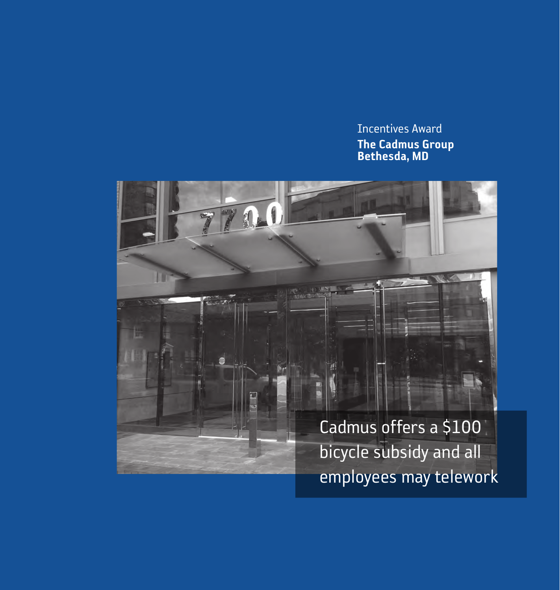Incentives Award The Cadmus Group Bethesda, MD

Cadmus offers a \$100 bicycle subsidy and all employees may telework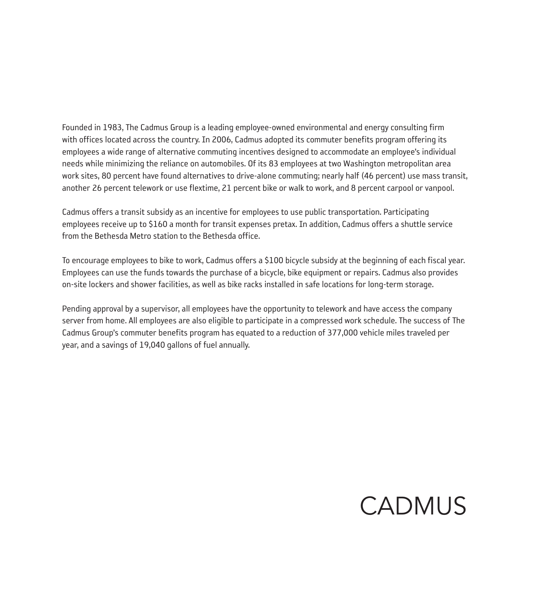Founded in 1983, The Cadmus Group is a leading employee-owned environmental and energy consulting firm with offices located across the country. In 2006, Cadmus adopted its commuter benefits program offering its employees a wide range of alternative commuting incentives designed to accommodate an employee's individual needs while minimizing the reliance on automobiles. Of its 83 employees at two Washington metropolitan area work sites, 80 percent have found alternatives to drive-alone commuting; nearly half (46 percent) use mass transit, another 26 percent telework or use flextime, 21 percent bike or walk to work, and 8 percent carpool or vanpool.

Cadmus offers a transit subsidy as an incentive for employees to use public transportation. Participating employees receive up to \$160 a month for transit expenses pretax. In addition, Cadmus offers a shuttle service from the Bethesda Metro station to the Bethesda office.

To encourage employees to bike to work, Cadmus offers a \$100 bicycle subsidy at the beginning of each fiscal year. Employees can use the funds towards the purchase of a bicycle, bike equipment or repairs. Cadmus also provides on-site lockers and shower facilities, as well as bike racks installed in safe locations for long-term storage.

Pending approval by a supervisor, all employees have the opportunity to telework and have access the company server from home. All employees are also eligible to participate in a compressed work schedule. The success of The Cadmus Group's commuter benefits program has equated to a reduction of 377,000 vehicle miles traveled per year, and a savings of 19,040 gallons of fuel annually.

# CADMUS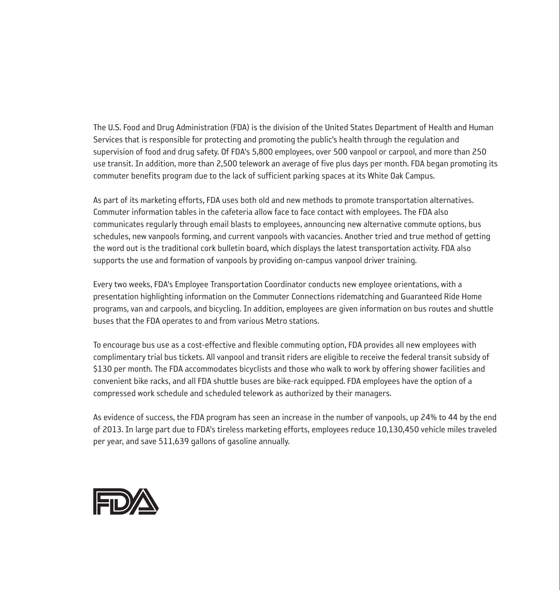The U.S. Food and Drug Administration (FDA) is the division of the United States Department of Health and Human Services that is responsible for protecting and promoting the public's health through the regulation and supervision of food and drug safety. Of FDA's 5,800 employees, over 500 vanpool or carpool, and more than 250 use transit. In addition, more than 2,500 telework an average of five plus days per month. FDA began promoting its commuter benefits program due to the lack of sufficient parking spaces at its White Oak Campus.

As part of its marketing efforts, FDA uses both old and new methods to promote transportation alternatives. Commuter information tables in the cafeteria allow face to face contact with employees. The FDA also communicates regularly through email blasts to employees, announcing new alternative commute options, bus schedules, new vanpools forming, and current vanpools with vacancies. Another tried and true method of getting the word out is the traditional cork bulletin board, which displays the latest transportation activity. FDA also supports the use and formation of vanpools by providing on-campus vanpool driver training.

Every two weeks, FDA's Employee Transportation Coordinator conducts new employee orientations, with a presentation highlighting information on the Commuter Connections ridematching and Guaranteed Ride Home programs, van and carpools, and bicycling. In addition, employees are given information on bus routes and shuttle buses that the FDA operates to and from various Metro stations.

To encourage bus use as a cost-effective and flexible commuting option, FDA provides all new employees with complimentary trial bus tickets. All vanpool and transit riders are eligible to receive the federal transit subsidy of \$130 per month. The FDA accommodates bicyclists and those who walk to work by offering shower facilities and convenient bike racks, and all FDA shuttle buses are bike-rack equipped. FDA employees have the option of a compressed work schedule and scheduled telework as authorized by their managers.

As evidence of success, the FDA program has seen an increase in the number of vanpools, up 24% to 44 by the end of 2013. In large part due to FDA's tireless marketing efforts, employees reduce 10,130,450 vehicle miles traveled per year, and save 511,639 gallons of gasoline annually.

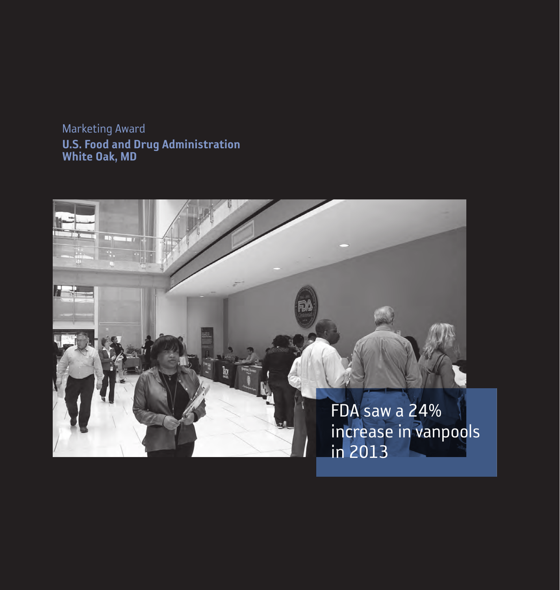Marketing Award U.S. Food and Drug Administration White Oak, MD

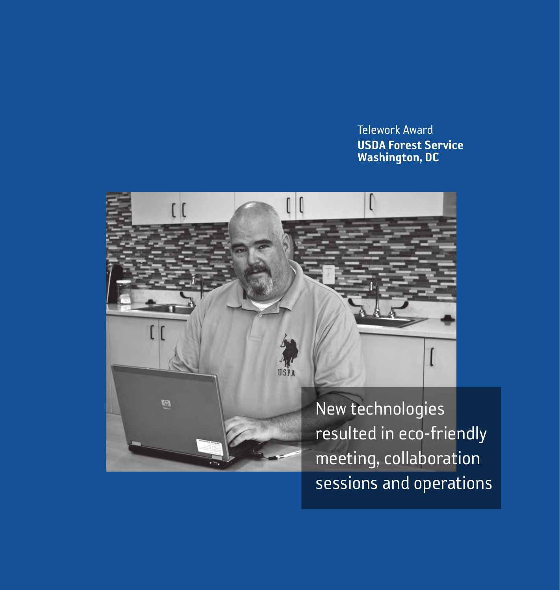## Telework Award USDA Forest Service Washington, DC



resulted in eco-friendly meeting, collaboration sessions and operations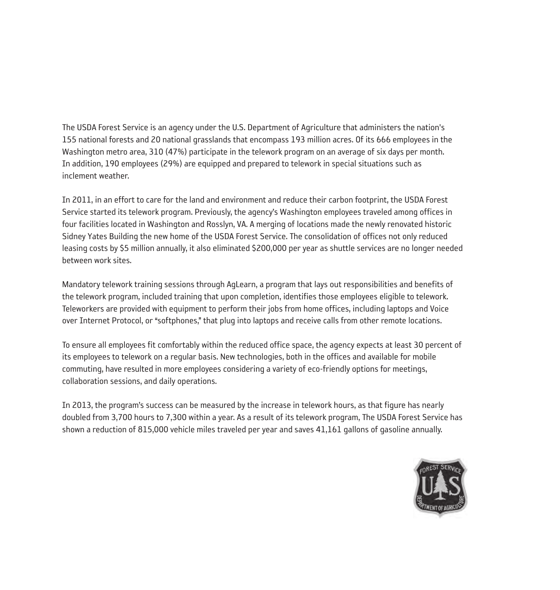The USDA Forest Service is an agency under the U.S. Department of Agriculture that administers the nation's 155 national forests and 20 national grasslands that encompass 193 million acres. Of its 666 employees in the Washington metro area, 310 (47%) participate in the telework program on an average of six days per month. In addition, 190 employees (29%) are equipped and prepared to telework in special situations such as inclement weather.

In 2011, in an effort to care for the land and environment and reduce their carbon footprint, the USDA Forest Service started its telework program. Previously, the agency's Washington employees traveled among offices in four facilities located in Washington and Rosslyn, VA. A merging of locations made the newly renovated historic Sidney Yates Building the new home of the USDA Forest Service. The consolidation of offices not only reduced leasing costs by \$5 million annually, it also eliminated \$200,000 per year as shuttle services are no longer needed between work sites.

Mandatory telework training sessions through AgLearn, a program that lays out responsibilities and benefits of the telework program, included training that upon completion, identifies those employees eligible to telework. Teleworkers are provided with equipment to perform their jobs from home offices, including laptops and Voice over Internet Protocol, or "softphones," that plug into laptops and receive calls from other remote locations.

To ensure all employees fit comfortably within the reduced office space, the agency expects at least 30 percent of its employees to telework on a regular basis. New technologies, both in the offices and available for mobile commuting, have resulted in more employees considering a variety of eco-friendly options for meetings, collaboration sessions, and daily operations.

In 2013, the program's success can be measured by the increase in telework hours, as that figure has nearly doubled from 3,700 hours to 7,300 within a year. As a result of its telework program, The USDA Forest Service has shown a reduction of 815,000 vehicle miles traveled per year and saves 41,161 gallons of gasoline annually.

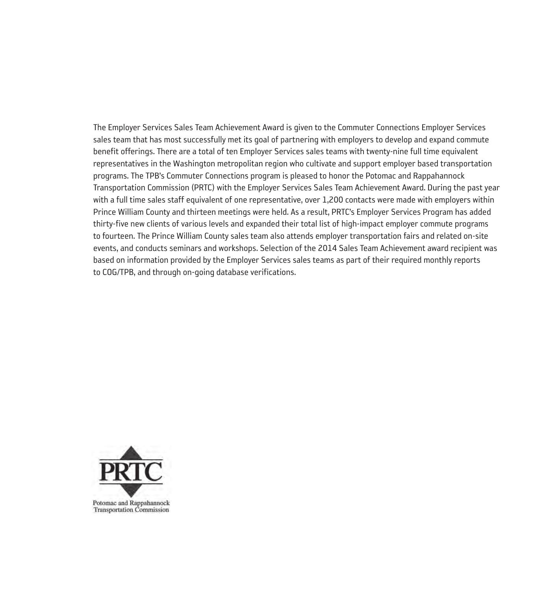The Employer Services Sales Team Achievement Award is given to the Commuter Connections Employer Services sales team that has most successfully met its goal of partnering with employers to develop and expand commute benefit offerings. There are a total of ten Employer Services sales teams with twenty-nine full time equivalent representatives in the Washington metropolitan region who cultivate and support employer based transportation programs. The TPB's Commuter Connections program is pleased to honor the Potomac and Rappahannock Transportation Commission (PRTC) with the Employer Services Sales Team Achievement Award. During the past year with a full time sales staff equivalent of one representative, over 1,200 contacts were made with employers within Prince William County and thirteen meetings were held. As a result, PRTC's Employer Services Program has added thirty-five new clients of various levels and expanded their total list of high-impact employer commute programs to fourteen. The Prince William County sales team also attends employer transportation fairs and related on-site events, and conducts seminars and workshops. Selection of the 2014 Sales Team Achievement award recipient was based on information provided by the Employer Services sales teams as part of their required monthly reports to COG/TPB, and through on-going database verifications.

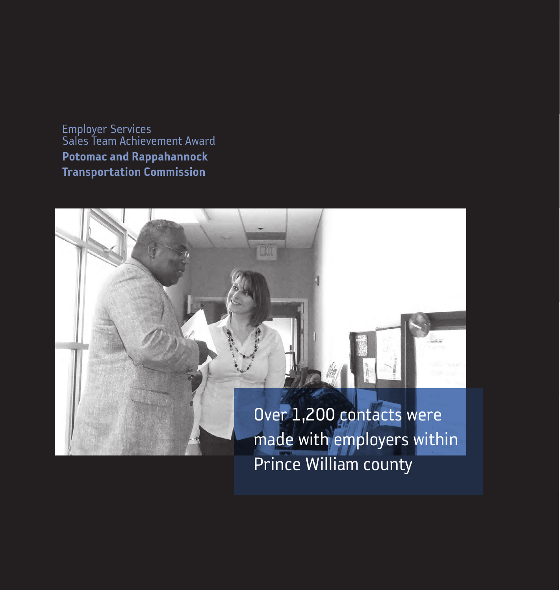Employer Services Sales Team Achievement Award Potomac and Rappahannock Transportation Commission

> Over 1,200 contacts were made with employers within Prince William county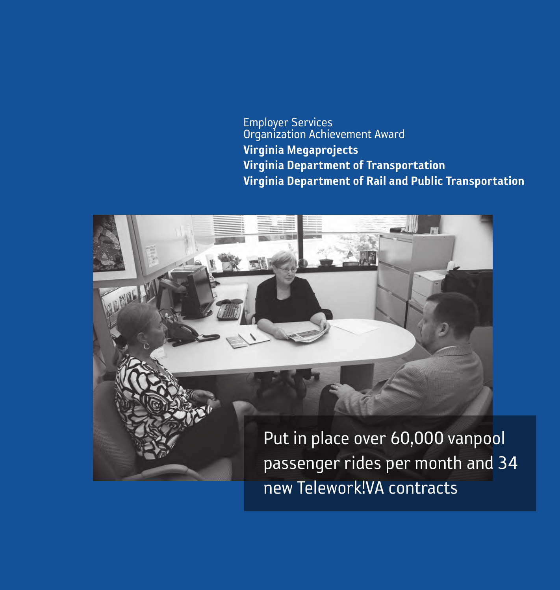Employer Services Organization Achievement Award Virginia Megaprojects Virginia Department of Transportation Virginia Department of Rail and Public Transportation

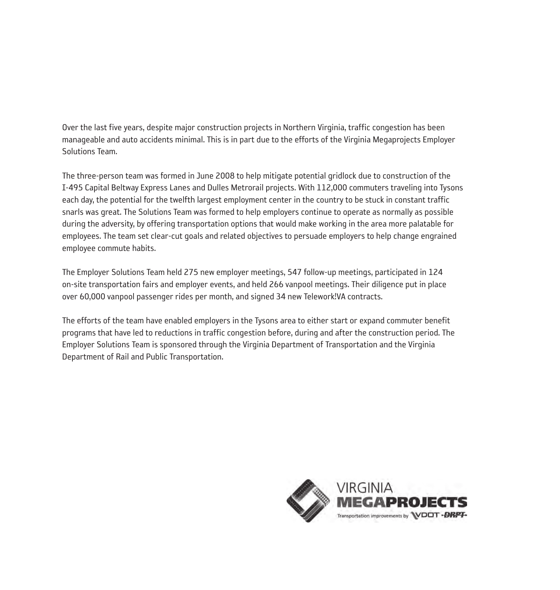Over the last five years, despite major construction projects in Northern Virginia, traffic congestion has been manageable and auto accidents minimal. This is in part due to the efforts of the Virginia Megaprojects Employer Solutions Team.

The three-person team was formed in June 2008 to help mitigate potential gridlock due to construction of the I-495 Capital Beltway Express Lanes and Dulles Metrorail projects. With 112,000 commuters traveling into Tysons each day, the potential for the twelfth largest employment center in the country to be stuck in constant traffic snarls was great. The Solutions Team was formed to help employers continue to operate as normally as possible during the adversity, by offering transportation options that would make working in the area more palatable for employees. The team set clear-cut goals and related objectives to persuade employers to help change engrained employee commute habits.

The Employer Solutions Team held 275 new employer meetings, 547 follow-up meetings, participated in 124 on-site transportation fairs and employer events, and held 266 vanpool meetings. Their diligence put in place over 60,000 vanpool passenger rides per month, and signed 34 new Telework!VA contracts.

The efforts of the team have enabled employers in the Tysons area to either start or expand commuter benefit programs that have led to reductions in traffic congestion before, during and after the construction period. The Employer Solutions Team is sponsored through the Virginia Department of Transportation and the Virginia Department of Rail and Public Transportation.

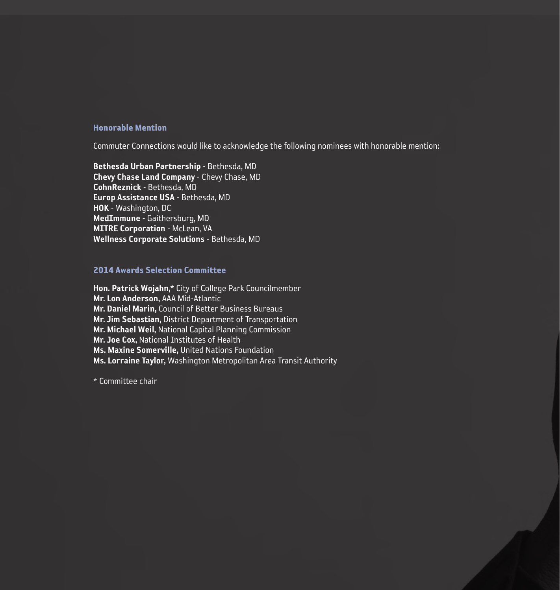#### Honorable Mention

Commuter Connections would like to acknowledge the following nominees with honorable mention:

Bethesda Urban Partnership - Bethesda, MD Chevy Chase Land Company - Chevy Chase, MD CohnReznick - Bethesda, MD Europ Assistance USA - Bethesda, MD HOK - Washington, DC MedImmune - Gaithersburg, MD **MITRE Corporation - McLean, VA** Wellness Corporate Solutions - Bethesda, MD

#### 2014 Awards Selection Committee

Hon. Patrick Wojahn,\* City of College Park Councilmember Mr. Lon Anderson, AAA Mid-Atlantic Mr. Daniel Marin, Council of Better Business Bureaus Mr. Jim Sebastian, District Department of Transportation Mr. Michael Weil, National Capital Planning Commission Mr. Joe Cox, National Institutes of Health Ms. Maxine Somerville, United Nations Foundation Ms. Lorraine Taylor, Washington Metropolitan Area Transit Authority

\* Committee chair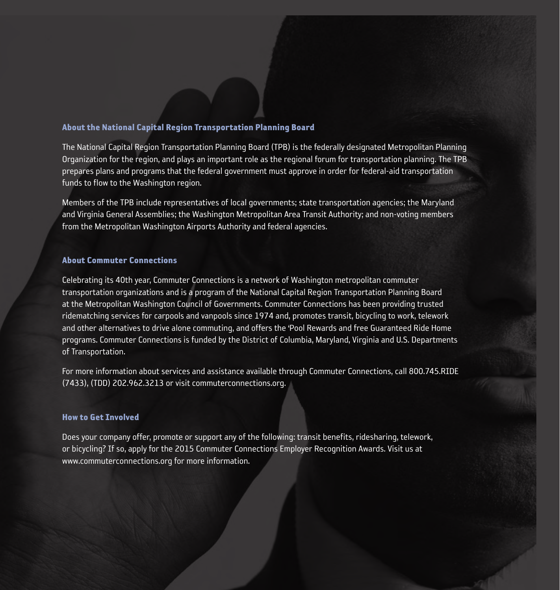#### About the National Capital Region Transportation Planning Board

The National Capital Region Transportation Planning Board (TPB) is the federally designated Metropolitan Planning Organization for the region, and plays an important role as the regional forum for transportation planning. The TPB prepares plans and programs that the federal government must approve in order for federal-aid transportation funds to flow to the Washington region.

Members of the TPB include representatives of local governments; state transportation agencies; the Maryland and Virginia General Assemblies; the Washington Metropolitan Area Transit Authority; and non-voting members from the Metropolitan Washington Airports Authority and federal agencies.

#### About Commuter Connections

Celebrating its 40th year, Commuter Connections is a network of Washington metropolitan commuter transportation organizations and is a program of the National Capital Region Transportation Planning Board at the Metropolitan Washington Council of Governments. Commuter Connections has been providing trusted ridematching services for carpools and vanpools since 1974 and, promotes transit, bicycling to work, telework and other alternatives to drive alone commuting, and offers the 'Pool Rewards and free Guaranteed Ride Home programs. Commuter Connections is funded by the District of Columbia, Maryland, Virginia and U.S. Departments of Transportation.

For more information about services and assistance available through Commuter Connections, call 800.745.RIDE (7433), (TDD) 202.962.3213 or visit commuterconnections.org.

#### How to Get Involved

Does your company offer, promote or support any of the following: transit benefits, ridesharing, telework, or bicycling? If so, apply for the 2015 Commuter Connections Employer Recognition Awards. Visit us at www.commuterconnections.org for more information.